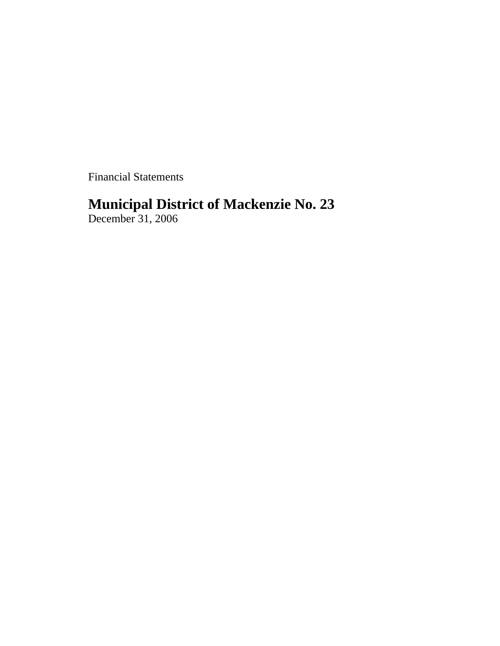Financial Statements

# **Municipal District of Mackenzie No. 23**

December 31, 2006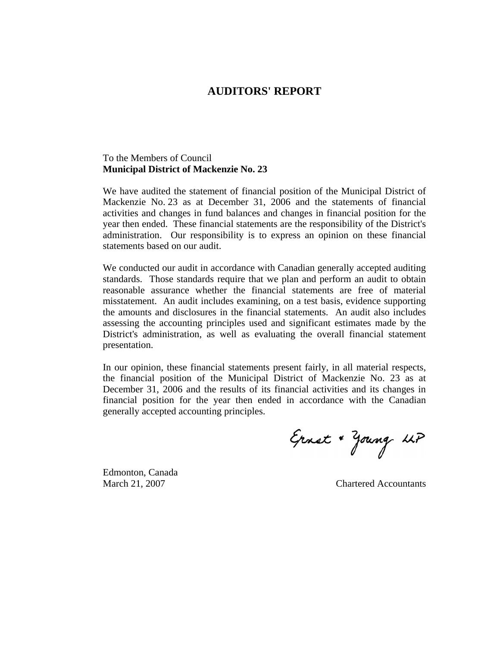## **AUDITORS' REPORT**

## To the Members of Council **Municipal District of Mackenzie No. 23**

We have audited the statement of financial position of the Municipal District of Mackenzie No. 23 as at December 31, 2006 and the statements of financial activities and changes in fund balances and changes in financial position for the year then ended. These financial statements are the responsibility of the District's administration. Our responsibility is to express an opinion on these financial statements based on our audit.

We conducted our audit in accordance with Canadian generally accepted auditing standards. Those standards require that we plan and perform an audit to obtain reasonable assurance whether the financial statements are free of material misstatement. An audit includes examining, on a test basis, evidence supporting the amounts and disclosures in the financial statements. An audit also includes assessing the accounting principles used and significant estimates made by the District's administration, as well as evaluating the overall financial statement presentation.

In our opinion, these financial statements present fairly, in all material respects, the financial position of the Municipal District of Mackenzie No. 23 as at December 31, 2006 and the results of its financial activities and its changes in financial position for the year then ended in accordance with the Canadian generally accepted accounting principles.

Ernst + Young LLP

Edmonton, Canada

March 21, 2007 Chartered Accountants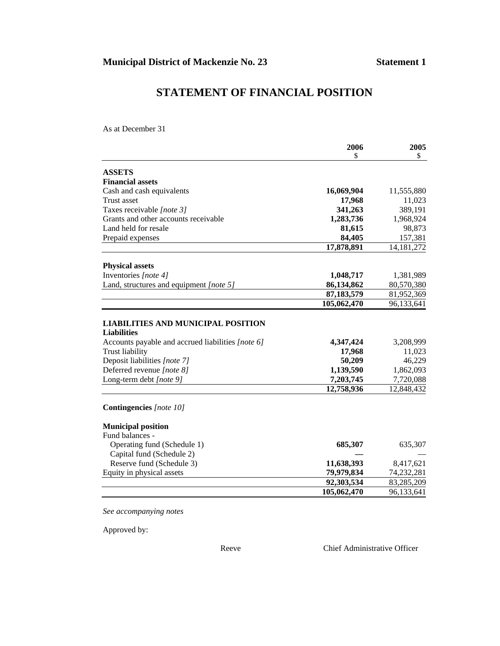# **STATEMENT OF FINANCIAL POSITION**

As at December 31

|                                                   | 2006        | 2005         |
|---------------------------------------------------|-------------|--------------|
|                                                   | \$          | \$           |
| <b>ASSETS</b>                                     |             |              |
| <b>Financial assets</b>                           |             |              |
| Cash and cash equivalents                         | 16,069,904  | 11,555,880   |
| Trust asset                                       | 17,968      | 11,023       |
| Taxes receivable [note 3]                         | 341,263     | 389,191      |
| Grants and other accounts receivable              | 1,283,736   | 1,968,924    |
| Land held for resale                              | 81,615      | 98,873       |
| Prepaid expenses                                  | 84,405      | 157,381      |
|                                                   | 17,878,891  | 14, 181, 272 |
| <b>Physical assets</b>                            |             |              |
| Inventories [note 4]                              | 1,048,717   | 1,381,989    |
| Land, structures and equipment [note 5]           | 86,134,862  | 80,570,380   |
|                                                   | 87,183,579  | 81,952,369   |
|                                                   | 105,062,470 | 96,133,641   |
|                                                   |             |              |
| <b>LIABILITIES AND MUNICIPAL POSITION</b>         |             |              |
| <b>Liabilities</b>                                |             |              |
| Accounts payable and accrued liabilities [note 6] | 4,347,424   | 3,208,999    |
| <b>Trust liability</b>                            | 17,968      | 11,023       |
| Deposit liabilities [note 7]                      | 50,209      | 46,229       |
| Deferred revenue [note 8]                         | 1,139,590   | 1,862,093    |
| Long-term debt [note 9]                           | 7,203,745   | 7,720,088    |
|                                                   | 12,758,936  | 12,848,432   |
| <b>Contingencies</b> [note 10]                    |             |              |
| <b>Municipal position</b>                         |             |              |
| Fund balances -                                   |             |              |
| Operating fund (Schedule 1)                       | 685,307     | 635,307      |
| Capital fund (Schedule 2)                         |             |              |
| Reserve fund (Schedule 3)                         | 11,638,393  | 8,417,621    |
| Equity in physical assets                         | 79,979,834  | 74,232,281   |
|                                                   | 92,303,534  | 83,285,209   |
|                                                   | 105,062,470 | 96,133,641   |

*See accompanying notes*

Approved by:

Reeve Chief Administrative Officer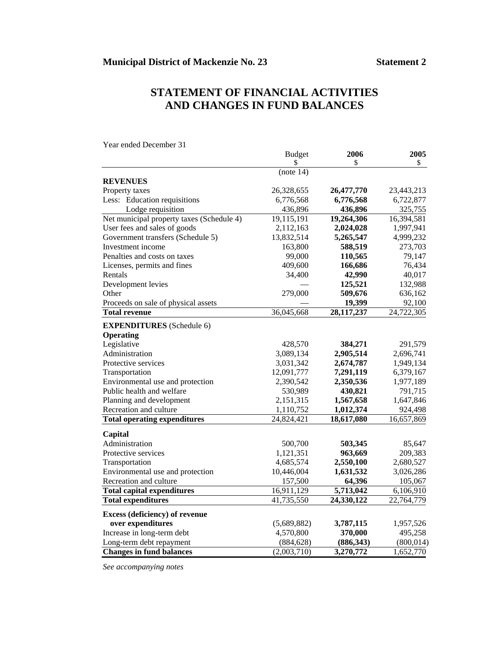# **STATEMENT OF FINANCIAL ACTIVITIES AND CHANGES IN FUND BALANCES**

 Budget **2006 2005**  $\frac{1}{3}$   $\frac{1}{3}$   $\frac{1}{3}$   $\frac{1}{3}$   $\frac{1}{3}$   $\frac{1}{3}$   $\frac{1}{3}$   $\frac{1}{3}$   $\frac{1}{3}$   $\frac{1}{3}$   $\frac{1}{3}$   $\frac{1}{3}$   $\frac{1}{3}$   $\frac{1}{3}$   $\frac{1}{3}$   $\frac{1}{3}$   $\frac{1}{3}$   $\frac{1}{3}$   $\frac{1}{3}$   $\frac{1}{3}$   $\frac{1}{3}$   $\frac{1}{3}$   $(note 14)$ **REVENUES**  Property taxes 26,328,655 **26,477,770** 23,443,213 Less: Education requisitions 6,776,568 **6,776,568** 6,722,877 Lodge requisition 436,896 **436,896** 325,755 Net municipal property taxes (Schedule 4) 19,115,191 **19,264,306** 16,394,581 User fees and sales of goods 2,112,163 **2,024,028** 1,997,941 Government transfers (Schedule 5) 13,832,514 **5,265,547** 4,999,232 Investment income 163,800 588,519 273,703 Penalties and costs on taxes 99,000 **110,565** 79,147 Licenses, permits and fines 409,600 **166,686** 76,434 Rentals 34,400 **42,990** 40,017 Development levies — **125,521** 132,988 Other 279,000 509,676 636,162 Proceeds on sale of physical assets **— 19,399** 92,100 **Total revenue** 36,045,668 **28,117,237** 24,722,305 **EXPENDITURES** (Schedule 6) **Operating**  Legislative 428,570 **384,271** 291,579 Administration 3,089,134 **2,905,514** 2,696,741 Protective services 3,031,342 **2,674,787** 1,949,134 Transportation 12,091,777 **7,291,119** 6,379,167 Environmental use and protection 2,390,542 **2,350,536** 1,977,189 Public health and welfare 530,989 **430,821** 791,715 Planning and development 2,151,315 **1,567,658** 1,647,846 Recreation and culture 1,110,752 **1,012,374** 924,498 **Total operating expenditures** 24,824,421 **18,617,080** 16,657,869 **Capital**  Administration 500,700 **503,345** 85,647 Protective services 1,121,351 **963,669** 209,383 Transportation 4,685,574 **2,550,100** 2,680,527 Environmental use and protection 10,446,004 **1,631,532** 3,026,286 Recreation and culture 157,500 **64,396** 105,067 **Total capital expenditures** 16,911,129 **5,713,042** 6,106,910 **Total expenditures** 41,735,550 **24,330,122** 22,764,779 **Excess (deficiency) of revenue over expenditures** (5,689,882) **3,787,115** 1,957,526 Increase in long-term debt 4,570,800 **370,000** 495,258 Long-term debt repayment (884,628) **(886,343)** (800,014) **Changes in fund balances** (2,003,710) **3,270,772** 1,652,770

Year ended December 31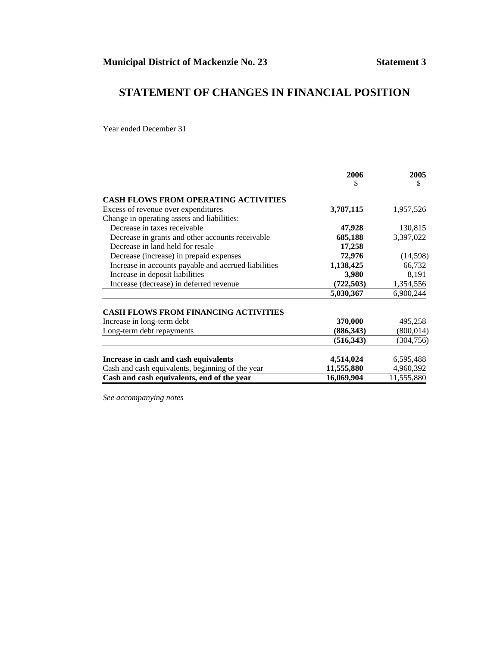# **STATEMENT OF CHANGES IN FINANCIAL POSITION**

Year ended December 31

|                                                      | 2006       | 2005       |
|------------------------------------------------------|------------|------------|
|                                                      | S.         | \$         |
| <b>CASH FLOWS FROM OPERATING ACTIVITIES</b>          |            |            |
| Excess of revenue over expenditures                  | 3,787,115  | 1,957,526  |
| Change in operating assets and liabilities:          |            |            |
| Decrease in taxes receivable                         | 47,928     | 130,815    |
| Decrease in grants and other accounts receivable     | 685,188    | 3,397,022  |
| Decrease in land held for resale                     | 17,258     |            |
| Decrease (increase) in prepaid expenses              | 72,976     | (14, 598)  |
| Increase in accounts payable and accrued liabilities | 1,138,425  | 66,732     |
| Increase in deposit liabilities                      | 3,980      | 8,191      |
| Increase (decrease) in deferred revenue              | (722, 503) | 1,354,556  |
|                                                      | 5,030,367  | 6,900,244  |
| <b>CASH FLOWS FROM FINANCING ACTIVITIES</b>          |            |            |
| Increase in long-term debt                           | 370,000    | 495,258    |
| Long-term debt repayments                            | (886, 343) | (800, 014) |
|                                                      | (516, 343) | (304, 756) |
| Increase in cash and cash equivalents                | 4,514,024  | 6,595,488  |
| Cash and cash equivalents, beginning of the year     | 11,555,880 | 4,960,392  |
| Cash and cash equivalents, end of the year           | 16,069,904 | 11,555,880 |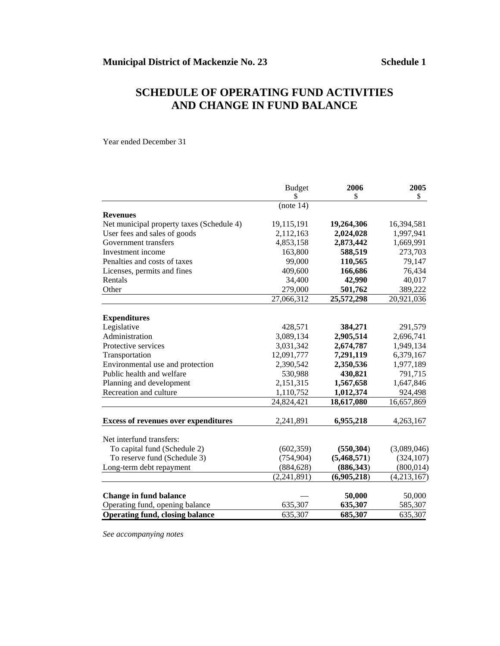# **SCHEDULE OF OPERATING FUND ACTIVITIES AND CHANGE IN FUND BALANCE**

Year ended December 31

|                                             | <b>Budget</b> | 2006        | 2005        |
|---------------------------------------------|---------------|-------------|-------------|
|                                             | \$            | \$          | \$          |
|                                             | (note 14)     |             |             |
| <b>Revenues</b>                             |               |             |             |
| Net municipal property taxes (Schedule 4)   | 19,115,191    | 19,264,306  | 16,394,581  |
| User fees and sales of goods                | 2,112,163     | 2,024,028   | 1,997,941   |
| Government transfers                        | 4,853,158     | 2,873,442   | 1,669,991   |
| Investment income                           | 163,800       | 588,519     | 273,703     |
| Penalties and costs of taxes                | 99,000        | 110,565     | 79,147      |
| Licenses, permits and fines                 | 409,600       | 166,686     | 76,434      |
| Rentals                                     | 34,400        | 42,990      | 40,017      |
| Other                                       | 279,000       | 501,762     | 389,222     |
|                                             | 27,066,312    | 25,572,298  | 20,921,036  |
| <b>Expenditures</b>                         |               |             |             |
| Legislative                                 | 428,571       | 384,271     | 291,579     |
| Administration                              | 3,089,134     | 2,905,514   | 2,696,741   |
| Protective services                         | 3,031,342     | 2,674,787   | 1,949,134   |
| Transportation                              | 12,091,777    | 7,291,119   | 6,379,167   |
| Environmental use and protection            | 2,390,542     | 2,350,536   | 1,977,189   |
| Public health and welfare                   | 530,988       | 430,821     | 791,715     |
| Planning and development                    | 2,151,315     |             | 1,647,846   |
|                                             |               | 1,567,658   |             |
| Recreation and culture                      | 1,110,752     | 1,012,374   | 924,498     |
|                                             | 24,824,421    | 18,617,080  | 16,657,869  |
| <b>Excess of revenues over expenditures</b> | 2,241,891     | 6,955,218   | 4,263,167   |
| Net interfund transfers:                    |               |             |             |
| To capital fund (Schedule 2)                | (602, 359)    | (550, 304)  | (3,089,046) |
| To reserve fund (Schedule 3)                | (754, 904)    | (5,468,571) | (324, 107)  |
| Long-term debt repayment                    | (884, 628)    | (886, 343)  | (800, 014)  |
|                                             | (2, 241, 891) | (6,905,218) | (4,213,167) |
|                                             |               |             |             |
| <b>Change in fund balance</b>               |               | 50,000      | 50,000      |
| Operating fund, opening balance             | 635,307       | 635,307     | 585,307     |
| <b>Operating fund, closing balance</b>      | 635,307       | 685,307     | 635,307     |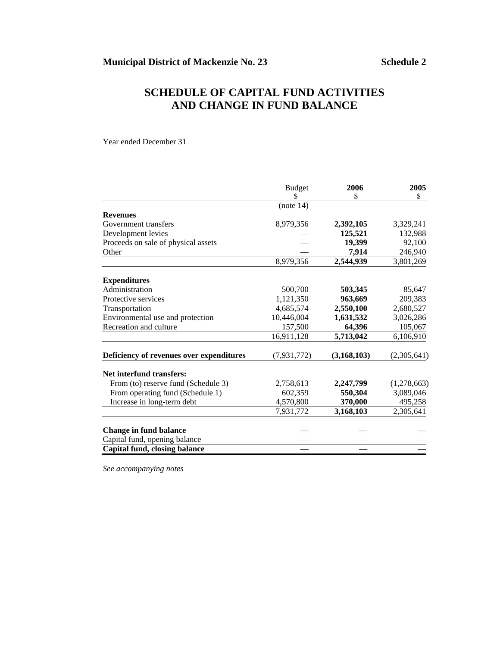# **SCHEDULE OF CAPITAL FUND ACTIVITIES AND CHANGE IN FUND BALANCE**

Year ended December 31

|                                          | <b>Budget</b> | 2006          | 2005        |
|------------------------------------------|---------------|---------------|-------------|
|                                          | \$            | \$            | \$          |
|                                          | (note 14)     |               |             |
| <b>Revenues</b>                          |               |               |             |
| Government transfers                     | 8,979,356     | 2,392,105     | 3,329,241   |
| Development levies                       |               | 125,521       | 132,988     |
| Proceeds on sale of physical assets      |               | 19,399        | 92,100      |
| Other                                    |               | 7,914         | 246,940     |
|                                          | 8,979,356     | 2,544,939     | 3,801,269   |
| <b>Expenditures</b>                      |               |               |             |
| Administration                           | 500,700       | 503,345       | 85,647      |
| Protective services                      | 1,121,350     | 963,669       | 209,383     |
| Transportation                           | 4,685,574     | 2,550,100     | 2,680,527   |
| Environmental use and protection         | 10,446,004    | 1,631,532     | 3,026,286   |
| Recreation and culture                   | 157,500       | 64,396        | 105,067     |
|                                          | 16,911,128    | 5,713,042     | 6,106,910   |
| Deficiency of revenues over expenditures | (7, 931, 772) | (3, 168, 103) | (2,305,641) |
| Net interfund transfers:                 |               |               |             |
| From (to) reserve fund (Schedule 3)      | 2,758,613     | 2,247,799     | (1,278,663) |
| From operating fund (Schedule 1)         | 602,359       | 550,304       | 3,089,046   |
| Increase in long-term debt               | 4,570,800     | 370,000       | 495,258     |
|                                          | 7,931,772     | 3,168,103     | 2,305,641   |
| <b>Change in fund balance</b>            |               |               |             |
| Capital fund, opening balance            |               |               |             |
| Capital fund, closing balance            |               |               |             |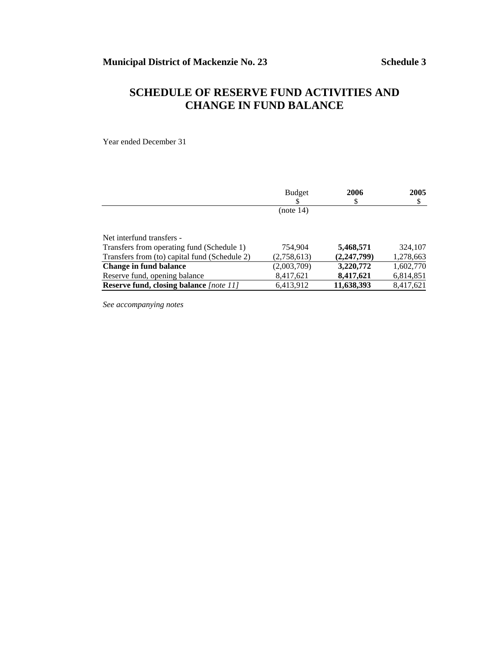# **SCHEDULE OF RESERVE FUND ACTIVITIES AND CHANGE IN FUND BALANCE**

Year ended December 31

|                                               | <b>Budget</b> | 2006<br>\$    | 2005<br>\$ |
|-----------------------------------------------|---------------|---------------|------------|
|                                               | (note $14$ )  |               |            |
| Net interfund transfers -                     |               |               |            |
| Transfers from operating fund (Schedule 1)    | 754,904       | 5,468,571     | 324,107    |
| Transfers from (to) capital fund (Schedule 2) | (2,758,613)   | (2, 247, 799) | 1,278,663  |
| Change in fund balance                        | (2,003,709)   | 3,220,772     | 1,602,770  |
| Reserve fund, opening balance                 | 8,417,621     | 8,417,621     | 6,814,851  |
| Reserve fund, closing balance [note 11]       | 6,413,912     | 11,638,393    | 8,417,621  |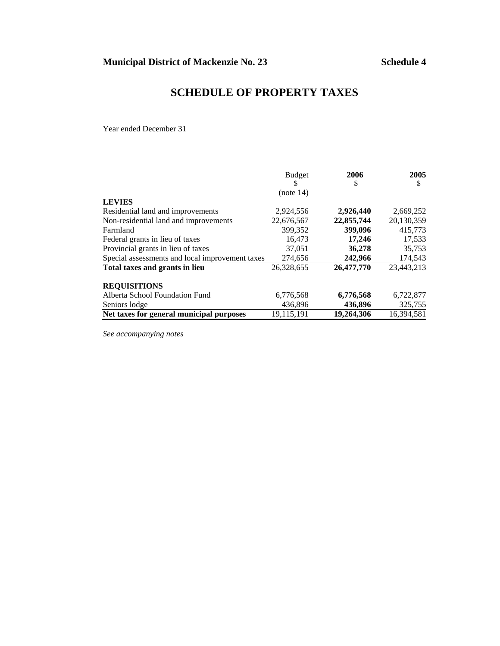# **SCHEDULE OF PROPERTY TAXES**

Year ended December 31

|                                                 | <b>Budget</b> | 2006       | 2005       |
|-------------------------------------------------|---------------|------------|------------|
|                                                 | \$            | \$         | \$         |
|                                                 | (note 14)     |            |            |
| <b>LEVIES</b>                                   |               |            |            |
| Residential land and improvements               | 2,924,556     | 2,926,440  | 2,669,252  |
| Non-residential land and improvements           | 22,676,567    | 22,855,744 | 20.130.359 |
| Farmland                                        | 399,352       | 399,096    | 415,773    |
| Federal grants in lieu of taxes                 | 16.473        | 17,246     | 17,533     |
| Provincial grants in lieu of taxes              | 37,051        | 36,278     | 35,753     |
| Special assessments and local improvement taxes | 274,656       | 242,966    | 174,543    |
| Total taxes and grants in lieu                  | 26,328,655    | 26,477,770 | 23,443,213 |
| <b>REQUISITIONS</b>                             |               |            |            |
| Alberta School Foundation Fund                  | 6,776,568     | 6,776,568  | 6,722,877  |
| Seniors lodge                                   | 436,896       | 436,896    | 325,755    |
| Net taxes for general municipal purposes        | 19,115,191    | 19,264,306 | 16,394,581 |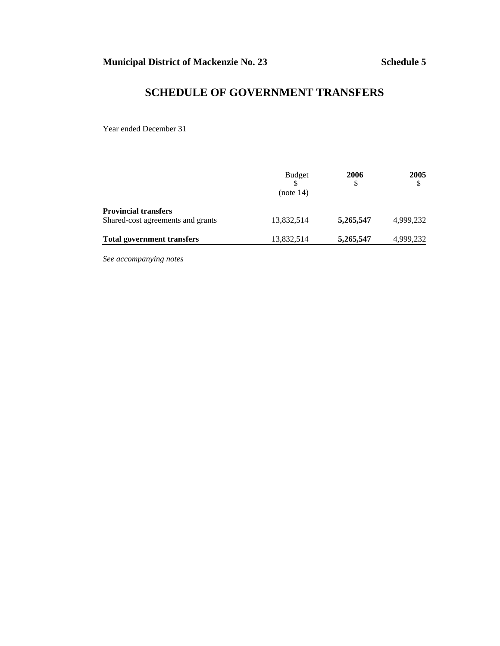# **SCHEDULE OF GOVERNMENT TRANSFERS**

Year ended December 31

|                                   | <b>Budget</b> | 2006<br>\$ | 2005      |
|-----------------------------------|---------------|------------|-----------|
|                                   | (note 14)     |            |           |
| <b>Provincial transfers</b>       |               |            |           |
| Shared-cost agreements and grants | 13,832,514    | 5,265,547  | 4,999,232 |
| <b>Total government transfers</b> | 13,832,514    | 5,265,547  | 4,999,232 |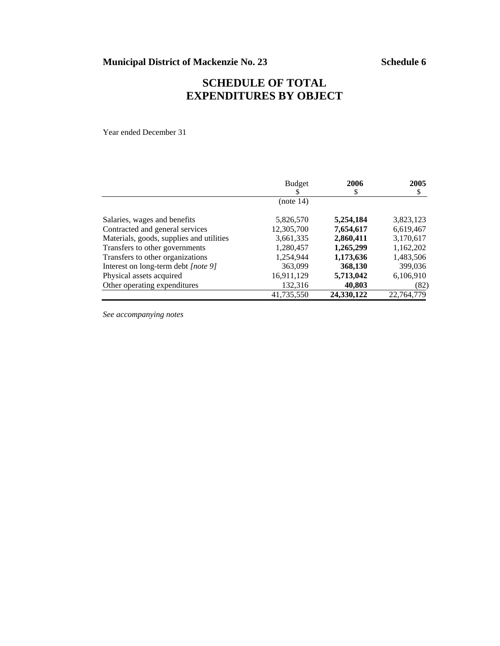# **SCHEDULE OF TOTAL EXPENDITURES BY OBJECT**

Year ended December 31

|                                          | <b>Budget</b> | 2006       | 2005       |
|------------------------------------------|---------------|------------|------------|
|                                          | S             | \$         | \$         |
|                                          | (note 14)     |            |            |
| Salaries, wages and benefits             | 5,826,570     | 5,254,184  | 3,823,123  |
| Contracted and general services          | 12,305,700    | 7,654,617  | 6,619,467  |
| Materials, goods, supplies and utilities | 3,661,335     | 2,860,411  | 3,170,617  |
| Transfers to other governments           | 1,280,457     | 1,265,299  | 1,162,202  |
| Transfers to other organizations         | 1,254,944     | 1,173,636  | 1,483,506  |
| Interest on long-term debt [note 9]      | 363,099       | 368,130    | 399,036    |
| Physical assets acquired                 | 16,911,129    | 5,713,042  | 6,106,910  |
| Other operating expenditures             | 132,316       | 40,803     | (82)       |
|                                          | 41,735,550    | 24,330,122 | 22,764,779 |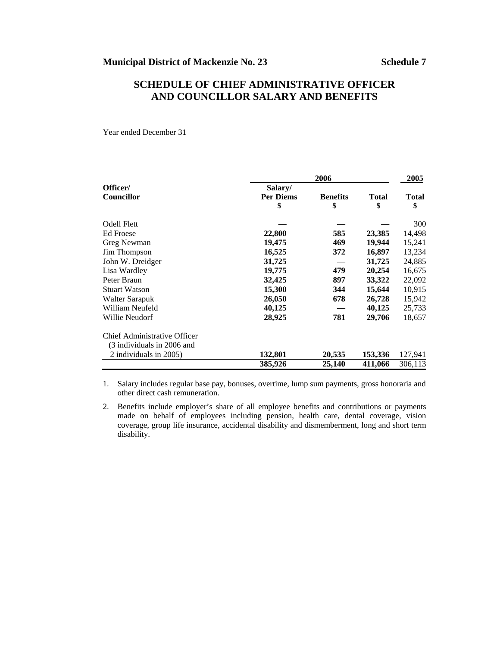## **SCHEDULE OF CHIEF ADMINISTRATIVE OFFICER AND COUNCILLOR SALARY AND BENEFITS**

Year ended December 31

|                              | 2006                              |                       |                    | 2005               |
|------------------------------|-----------------------------------|-----------------------|--------------------|--------------------|
| Officer/<br>Councillor       | Salary/<br><b>Per Diems</b><br>\$ | <b>Benefits</b><br>\$ | <b>Total</b><br>\$ | <b>Total</b><br>\$ |
| Odell Flett                  |                                   |                       |                    | 300                |
| Ed Froese                    | 22,800                            | 585                   | 23,385             | 14,498             |
| Greg Newman                  | 19,475                            | 469                   | 19,944             | 15,241             |
| Jim Thompson                 | 16,525                            | 372                   | 16,897             | 13,234             |
| John W. Dreidger             | 31,725                            |                       | 31,725             | 24,885             |
| Lisa Wardley                 | 19,775                            | 479                   | 20,254             | 16,675             |
| Peter Braun                  | 32,425                            | 897                   | 33,322             | 22,092             |
| <b>Stuart Watson</b>         | 15,300                            | 344                   | 15,644             | 10,915             |
| Walter Sarapuk               | 26,050                            | 678                   | 26,728             | 15,942             |
| William Neufeld              | 40,125                            |                       | 40,125             | 25,733             |
| Willie Neudorf               | 28,925                            | 781                   | 29,706             | 18,657             |
| Chief Administrative Officer |                                   |                       |                    |                    |
| (3 individuals in 2006 and   |                                   |                       |                    |                    |
| 2 individuals in 2005)       | 132,801                           | 20,535                | 153,336            | 127,941            |
|                              | 385,926                           | 25,140                | 411,066            | 306,113            |

1. Salary includes regular base pay, bonuses, overtime, lump sum payments, gross honoraria and other direct cash remuneration.

2. Benefits include employer's share of all employee benefits and contributions or payments made on behalf of employees including pension, health care, dental coverage, vision coverage, group life insurance, accidental disability and dismemberment, long and short term disability.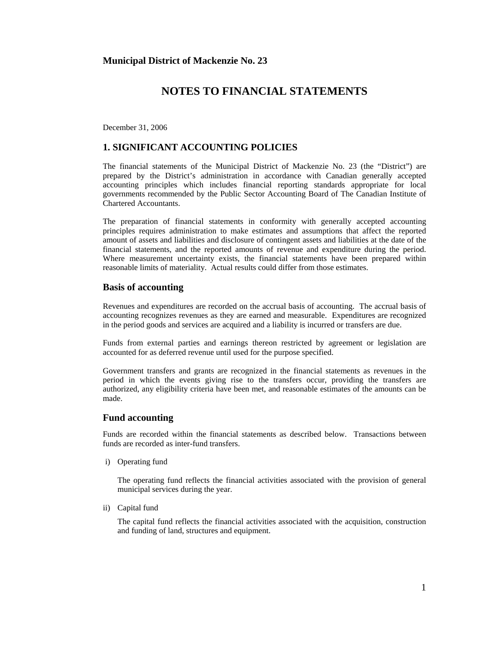December 31, 2006

## **1. SIGNIFICANT ACCOUNTING POLICIES**

The financial statements of the Municipal District of Mackenzie No. 23 (the "District") are prepared by the District's administration in accordance with Canadian generally accepted accounting principles which includes financial reporting standards appropriate for local governments recommended by the Public Sector Accounting Board of The Canadian Institute of Chartered Accountants.

The preparation of financial statements in conformity with generally accepted accounting principles requires administration to make estimates and assumptions that affect the reported amount of assets and liabilities and disclosure of contingent assets and liabilities at the date of the financial statements, and the reported amounts of revenue and expenditure during the period. Where measurement uncertainty exists, the financial statements have been prepared within reasonable limits of materiality. Actual results could differ from those estimates.

#### **Basis of accounting**

Revenues and expenditures are recorded on the accrual basis of accounting. The accrual basis of accounting recognizes revenues as they are earned and measurable. Expenditures are recognized in the period goods and services are acquired and a liability is incurred or transfers are due.

Funds from external parties and earnings thereon restricted by agreement or legislation are accounted for as deferred revenue until used for the purpose specified.

Government transfers and grants are recognized in the financial statements as revenues in the period in which the events giving rise to the transfers occur, providing the transfers are authorized, any eligibility criteria have been met, and reasonable estimates of the amounts can be made.

#### **Fund accounting**

Funds are recorded within the financial statements as described below. Transactions between funds are recorded as inter-fund transfers.

i) Operating fund

 The operating fund reflects the financial activities associated with the provision of general municipal services during the year.

ii) Capital fund

 The capital fund reflects the financial activities associated with the acquisition, construction and funding of land, structures and equipment.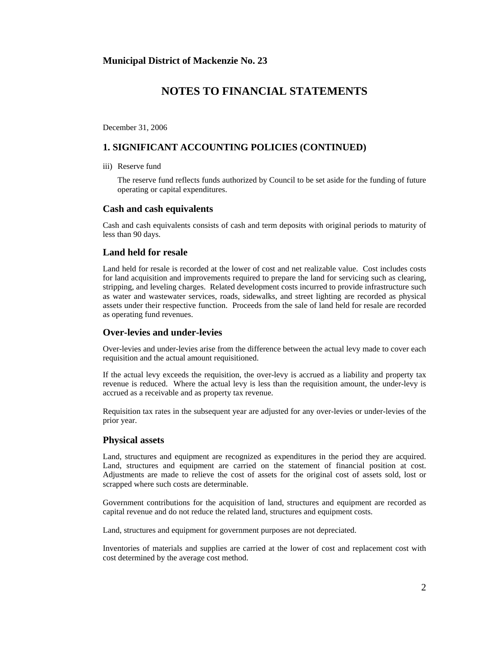December 31, 2006

## **1. SIGNIFICANT ACCOUNTING POLICIES (CONTINUED)**

iii) Reserve fund

 The reserve fund reflects funds authorized by Council to be set aside for the funding of future operating or capital expenditures.

#### **Cash and cash equivalents**

Cash and cash equivalents consists of cash and term deposits with original periods to maturity of less than 90 days.

#### **Land held for resale**

Land held for resale is recorded at the lower of cost and net realizable value. Cost includes costs for land acquisition and improvements required to prepare the land for servicing such as clearing, stripping, and leveling charges. Related development costs incurred to provide infrastructure such as water and wastewater services, roads, sidewalks, and street lighting are recorded as physical assets under their respective function. Proceeds from the sale of land held for resale are recorded as operating fund revenues.

## **Over-levies and under-levies**

Over-levies and under-levies arise from the difference between the actual levy made to cover each requisition and the actual amount requisitioned.

If the actual levy exceeds the requisition, the over-levy is accrued as a liability and property tax revenue is reduced. Where the actual levy is less than the requisition amount, the under-levy is accrued as a receivable and as property tax revenue.

Requisition tax rates in the subsequent year are adjusted for any over-levies or under-levies of the prior year.

#### **Physical assets**

Land, structures and equipment are recognized as expenditures in the period they are acquired. Land, structures and equipment are carried on the statement of financial position at cost. Adjustments are made to relieve the cost of assets for the original cost of assets sold, lost or scrapped where such costs are determinable.

Government contributions for the acquisition of land, structures and equipment are recorded as capital revenue and do not reduce the related land, structures and equipment costs.

Land, structures and equipment for government purposes are not depreciated.

Inventories of materials and supplies are carried at the lower of cost and replacement cost with cost determined by the average cost method.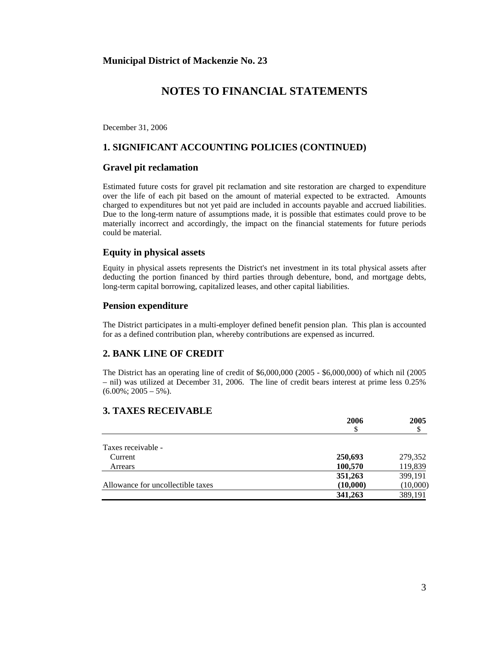December 31, 2006

## **1. SIGNIFICANT ACCOUNTING POLICIES (CONTINUED)**

#### **Gravel pit reclamation**

Estimated future costs for gravel pit reclamation and site restoration are charged to expenditure over the life of each pit based on the amount of material expected to be extracted. Amounts charged to expenditures but not yet paid are included in accounts payable and accrued liabilities. Due to the long-term nature of assumptions made, it is possible that estimates could prove to be materially incorrect and accordingly, the impact on the financial statements for future periods could be material.

#### **Equity in physical assets**

Equity in physical assets represents the District's net investment in its total physical assets after deducting the portion financed by third parties through debenture, bond, and mortgage debts, long-term capital borrowing, capitalized leases, and other capital liabilities.

#### **Pension expenditure**

The District participates in a multi-employer defined benefit pension plan. This plan is accounted for as a defined contribution plan, whereby contributions are expensed as incurred.

### **2. BANK LINE OF CREDIT**

The District has an operating line of credit of \$6,000,000 (2005 - \$6,000,000) of which nil (2005 – nil) was utilized at December 31, 2006. The line of credit bears interest at prime less 0.25%  $(6.00\%; 2005 - 5\%)$ .

### **3. TAXES RECEIVABLE**

|                                   | 2006     | 2005     |
|-----------------------------------|----------|----------|
|                                   |          | \$       |
|                                   |          |          |
| Taxes receivable -                |          |          |
| Current                           | 250,693  | 279,352  |
| Arrears                           | 100,570  | 119,839  |
|                                   | 351,263  | 399,191  |
| Allowance for uncollectible taxes | (10,000) | (10,000) |
|                                   | 341,263  | 389,191  |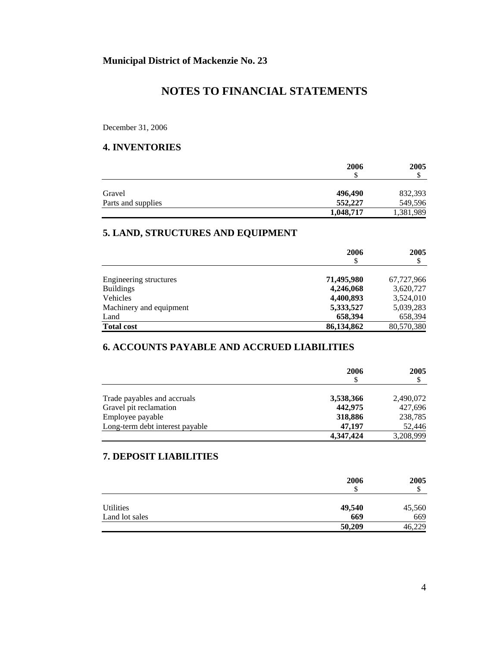December 31, 2006

## **4. INVENTORIES**

|                    | 2006      | 2005      |
|--------------------|-----------|-----------|
|                    | \$        | Φ         |
| Gravel             | 496,490   | 832,393   |
| Parts and supplies | 552,227   | 549,596   |
|                    | 1,048,717 | 1,381,989 |

## **5. LAND, STRUCTURES AND EQUIPMENT**

|                         | 2006<br>\$ | 2005<br>\$ |
|-------------------------|------------|------------|
| Engineering structures  | 71,495,980 | 67,727,966 |
| <b>Buildings</b>        | 4,246,068  | 3,620,727  |
| Vehicles                | 4,400,893  | 3,524,010  |
| Machinery and equipment | 5,333,527  | 5,039,283  |
| Land                    | 658,394    | 658,394    |
| <b>Total cost</b>       | 86,134,862 | 80,570,380 |

## **6. ACCOUNTS PAYABLE AND ACCRUED LIABILITIES**

|                                 | 2006<br>\$ | 2005<br>S |
|---------------------------------|------------|-----------|
| Trade payables and accruals     | 3,538,366  | 2,490,072 |
| Gravel pit reclamation          | 442,975    | 427,696   |
| Employee payable                | 318,886    | 238,785   |
| Long-term debt interest payable | 47.197     | 52,446    |
|                                 | 4,347,424  | 3,208,999 |

## **7. DEPOSIT LIABILITIES**

|                | 2006<br>\$ | 2005<br>D |
|----------------|------------|-----------|
| Utilities      | 49,540     | 45,560    |
| Land lot sales | 669        | 669       |
|                | 50,209     | 46,229    |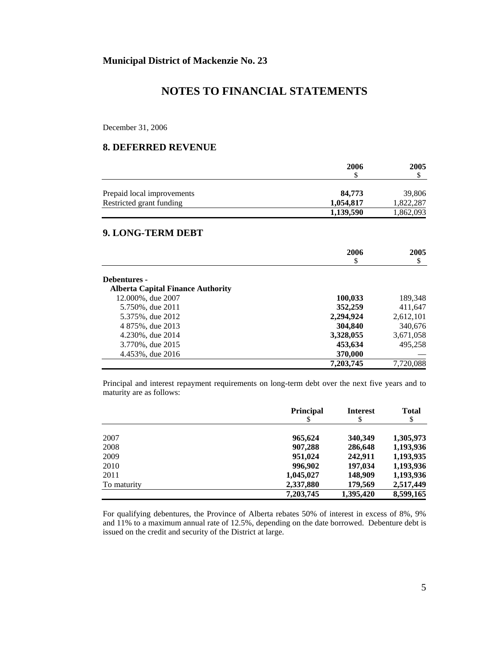December 31, 2006

### **8. DEFERRED REVENUE**

|                            | 2006      | 2005      |
|----------------------------|-----------|-----------|
|                            |           |           |
| Prepaid local improvements | 84,773    | 39,806    |
| Restricted grant funding   | 1,054,817 | 1,822,287 |
|                            | 1,139,590 | 1,862,093 |

#### **9. LONG-TERM DEBT**

|                                          | 2006      | 2005      |
|------------------------------------------|-----------|-----------|
|                                          | \$        | \$        |
| Debentures -                             |           |           |
| <b>Alberta Capital Finance Authority</b> |           |           |
| 12.000%, due 2007                        | 100,033   | 189,348   |
| 5.750%, due 2011                         | 352,259   | 411,647   |
| 5.375%, due 2012                         | 2,294,924 | 2,612,101 |
| 4 875%, due 2013                         | 304,840   | 340,676   |
| 4.230%, due 2014                         | 3,328,055 | 3,671,058 |
| 3.770%, due 2015                         | 453,634   | 495.258   |
| 4.453%, due 2016                         | 370,000   |           |
|                                          | 7,203,745 | 7,720,088 |

Principal and interest repayment requirements on long-term debt over the next five years and to maturity are as follows:

|             | <b>Principal</b> | <b>Interest</b> | <b>Total</b> |
|-------------|------------------|-----------------|--------------|
|             | \$               | \$              | \$           |
| 2007        | 965,624          | 340,349         | 1,305,973    |
| 2008        | 907,288          | 286,648         | 1,193,936    |
| 2009        | 951,024          | 242.911         | 1,193,935    |
| 2010        | 996,902          | 197,034         | 1,193,936    |
| 2011        | 1,045,027        | 148,909         | 1,193,936    |
| To maturity | 2,337,880        | 179,569         | 2,517,449    |
|             | 7,203,745        | 1,395,420       | 8,599,165    |

For qualifying debentures, the Province of Alberta rebates 50% of interest in excess of 8%, 9% and 11% to a maximum annual rate of 12.5%, depending on the date borrowed. Debenture debt is issued on the credit and security of the District at large.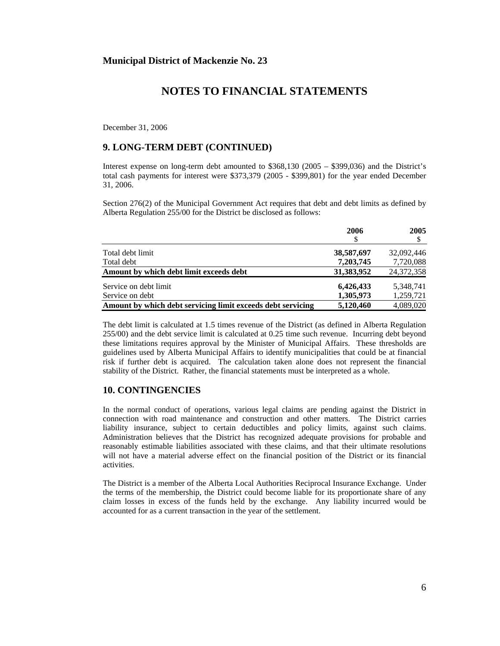December 31, 2006

### **9. LONG-TERM DEBT (CONTINUED)**

Interest expense on long-term debt amounted to \$368,130 (2005 – \$399,036) and the District's total cash payments for interest were \$373,379 (2005 - \$399,801) for the year ended December 31, 2006.

Section 276(2) of the Municipal Government Act requires that debt and debt limits as defined by Alberta Regulation 255/00 for the District be disclosed as follows:

|                                                             | 2006<br>\$ | 2005       |
|-------------------------------------------------------------|------------|------------|
| Total debt limit                                            | 38,587,697 | 32,092,446 |
| Total debt                                                  | 7,203,745  | 7,720,088  |
| Amount by which debt limit exceeds debt                     | 31,383,952 | 24,372,358 |
| Service on debt limit                                       | 6,426,433  | 5,348,741  |
| Service on debt                                             | 1.305.973  | 1,259,721  |
| Amount by which debt servicing limit exceeds debt servicing | 5,120,460  | 4.089.020  |

The debt limit is calculated at 1.5 times revenue of the District (as defined in Alberta Regulation 255/00) and the debt service limit is calculated at 0.25 time such revenue. Incurring debt beyond these limitations requires approval by the Minister of Municipal Affairs. These thresholds are guidelines used by Alberta Municipal Affairs to identify municipalities that could be at financial risk if further debt is acquired. The calculation taken alone does not represent the financial stability of the District. Rather, the financial statements must be interpreted as a whole.

## **10. CONTINGENCIES**

In the normal conduct of operations, various legal claims are pending against the District in connection with road maintenance and construction and other matters. The District carries liability insurance, subject to certain deductibles and policy limits, against such claims. Administration believes that the District has recognized adequate provisions for probable and reasonably estimable liabilities associated with these claims, and that their ultimate resolutions will not have a material adverse effect on the financial position of the District or its financial activities.

The District is a member of the Alberta Local Authorities Reciprocal Insurance Exchange. Under the terms of the membership, the District could become liable for its proportionate share of any claim losses in excess of the funds held by the exchange. Any liability incurred would be accounted for as a current transaction in the year of the settlement.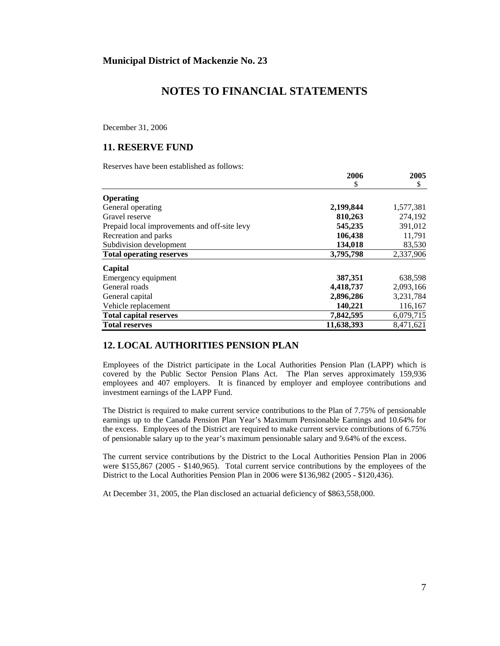December 31, 2006

### **11. RESERVE FUND**

Reserves have been established as follows:

|                                              | 2006       | 2005      |
|----------------------------------------------|------------|-----------|
|                                              | \$         | \$        |
| <b>Operating</b>                             |            |           |
| General operating                            | 2,199,844  | 1,577,381 |
| Gravel reserve                               | 810,263    | 274.192   |
| Prepaid local improvements and off-site levy | 545,235    | 391,012   |
| Recreation and parks                         | 106,438    | 11,791    |
| Subdivision development                      | 134,018    | 83,530    |
| <b>Total operating reserves</b>              | 3,795,798  | 2,337,906 |
| Capital                                      |            |           |
| Emergency equipment                          | 387,351    | 638,598   |
| General roads                                | 4,418,737  | 2,093,166 |
| General capital                              | 2,896,286  | 3,231,784 |
| Vehicle replacement                          | 140,221    | 116,167   |
| <b>Total capital reserves</b>                | 7,842,595  | 6,079,715 |
| <b>Total reserves</b>                        | 11,638,393 | 8.471.621 |

## **12. LOCAL AUTHORITIES PENSION PLAN**

Employees of the District participate in the Local Authorities Pension Plan (LAPP) which is covered by the Public Sector Pension Plans Act. The Plan serves approximately 159,936 employees and 407 employers. It is financed by employer and employee contributions and investment earnings of the LAPP Fund.

The District is required to make current service contributions to the Plan of 7.75% of pensionable earnings up to the Canada Pension Plan Year's Maximum Pensionable Earnings and 10.64% for the excess. Employees of the District are required to make current service contributions of 6.75% of pensionable salary up to the year's maximum pensionable salary and 9.64% of the excess.

The current service contributions by the District to the Local Authorities Pension Plan in 2006 were \$155,867 (2005 - \$140,965). Total current service contributions by the employees of the District to the Local Authorities Pension Plan in 2006 were \$136,982 (2005 - \$120,436).

At December 31, 2005, the Plan disclosed an actuarial deficiency of \$863,558,000.